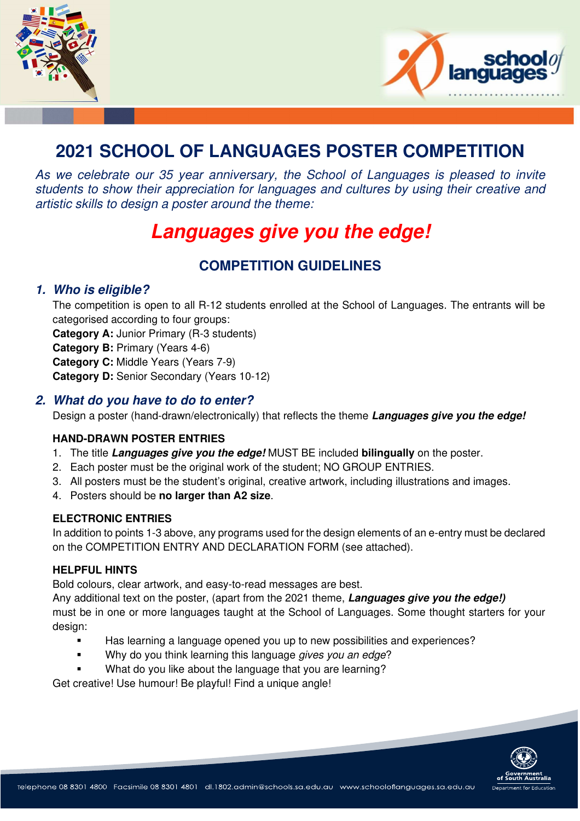



## **2021 SCHOOL OF LANGUAGES POSTER COMPETITION**

As we celebrate our 35 year anniversary, the School of Languages is pleased to invite students to show their appreciation for languages and cultures by using their creative and artistic skills to design a poster around the theme:

# **Languages give you the edge!**

### **COMPETITION GUIDELINES**

#### **1. Who is eligible?**

The competition is open to all R-12 students enrolled at the School of Languages. The entrants will be categorised according to four groups:

**Category A:** Junior Primary (R-3 students) **Category B:** Primary (Years 4-6)

**Category C:** Middle Years (Years 7-9)

**Category D:** Senior Secondary (Years 10-12)

#### **2. What do you have to do to enter?**

Design a poster (hand-drawn/electronically) that reflects the theme **Languages give you the edge!**

#### **HAND-DRAWN POSTER ENTRIES**

- 1. The title **Languages give you the edge!** MUST BE included **bilingually** on the poster.
- 2. Each poster must be the original work of the student; NO GROUP ENTRIES.
- 3. All posters must be the student's original, creative artwork, including illustrations and images.
- 4. Posters should be **no larger than A2 size**.

#### **ELECTRONIC ENTRIES**

In addition to points 1-3 above, any programs used for the design elements of an e-entry must be declared on the COMPETITION ENTRY AND DECLARATION FORM (see attached).

#### **HELPFUL HINTS**

Bold colours, clear artwork, and easy-to-read messages are best.

Any additional text on the poster, (apart from the 2021 theme, **Languages give you the edge!)** must be in one or more languages taught at the School of Languages. Some thought starters for your design:

- Has learning a language opened you up to new possibilities and experiences?
- Why do you think learning this language gives you an edge?
- What do you like about the language that you are learning?

Get creative! Use humour! Be playful! Find a unique angle!